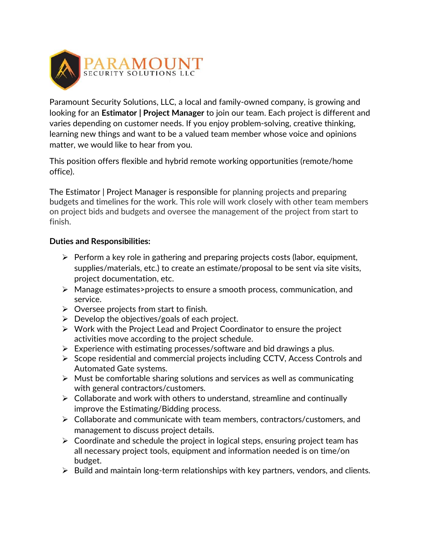

Paramount Security Solutions, LLC, a local and family-owned company, is growing and looking for an **Estimator | Project Manager** to join our team. Each project is different and varies depending on customer needs. If you enjoy problem-solving, creative thinking, learning new things and want to be a valued team member whose voice and opinions matter, we would like to hear from you.

This position offers flexible and hybrid remote working opportunities (remote/home office).

The Estimator | Project Manager is responsible for planning projects and preparing budgets and timelines for the work. This role will work closely with other team members on project bids and budgets and oversee the management of the project from start to finish.

## **Duties and Responsibilities:**

- ➢ Perform a key role in gathering and preparing projects costs (labor, equipment, supplies/materials, etc.) to create an estimate/proposal to be sent via site visits, project documentation, etc.
- ➢ Manage estimates>projects to ensure a smooth process, communication, and service.
- $\triangleright$  Oversee projects from start to finish.
- $\triangleright$  Develop the objectives/goals of each project.
- ➢ Work with the Project Lead and Project Coordinator to ensure the project activities move according to the project schedule.
- $\triangleright$  Experience with estimating processes/software and bid drawings a plus.
- ➢ Scope residential and commercial projects including CCTV, Access Controls and Automated Gate systems.
- ➢ Must be comfortable sharing solutions and services as well as communicating with general contractors/customers.
- $\triangleright$  Collaborate and work with others to understand, streamline and continually improve the Estimating/Bidding process.
- ➢ Collaborate and communicate with team members, contractors/customers, and management to discuss project details.
- $\triangleright$  Coordinate and schedule the project in logical steps, ensuring project team has all necessary project tools, equipment and information needed is on time/on budget.
- $\triangleright$  Build and maintain long-term relationships with key partners, vendors, and clients.